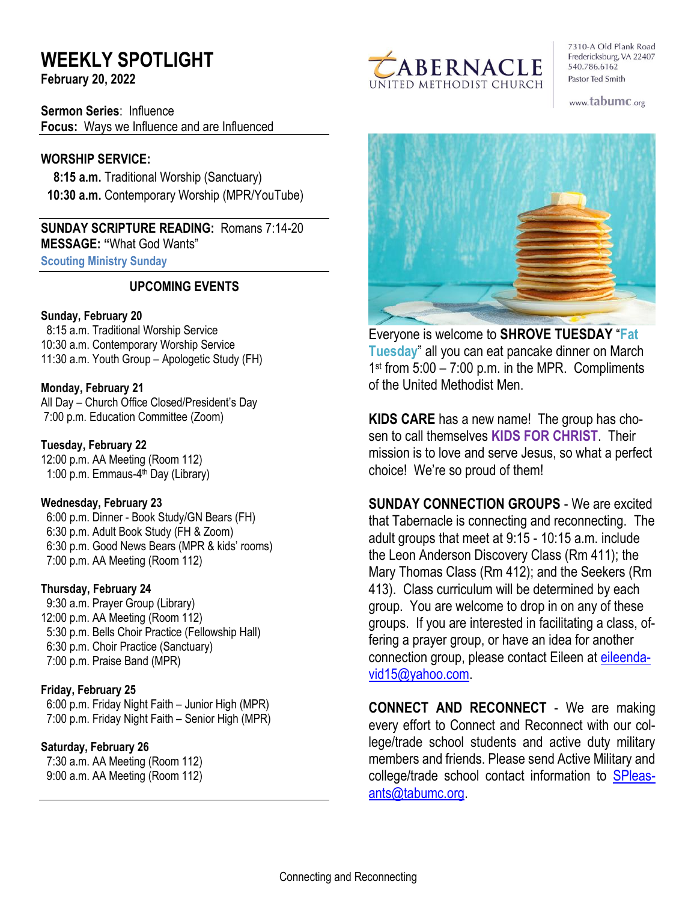# **WEEKLY SPOTLIGHT**

**February 20, 2022** 

**Sermon Series**: Influence **Focus:** Ways we Influence and are Influenced

## **WORSHIP SERVICE:**

 **8:15 a.m.** Traditional Worship (Sanctuary)  **10:30 a.m.** Contemporary Worship (MPR/YouTube)

**SUNDAY SCRIPTURE READING:** Romans 7:14-20 **MESSAGE: "**What God Wants"

**Scouting Ministry Sunday**

## **UPCOMING EVENTS**

#### **Sunday, February 20**

 8:15 a.m. Traditional Worship Service 10:30 a.m. Contemporary Worship Service 11:30 a.m. Youth Group – Apologetic Study (FH)

#### **Monday, February 21**

All Day – Church Office Closed/President's Day 7:00 p.m. Education Committee (Zoom)

**Tuesday, February 22** 12:00 p.m. AA Meeting (Room 112) 1:00 p.m. Emmaus-4<sup>th</sup> Day (Library)

#### **Wednesday, February 23**

 6:00 p.m. Dinner - Book Study/GN Bears (FH) 6:30 p.m. Adult Book Study (FH & Zoom) 6:30 p.m. Good News Bears (MPR & kids' rooms) 7:00 p.m. AA Meeting (Room 112)

#### **Thursday, February 24**

9:30 a.m. Prayer Group (Library) 12:00 p.m. AA Meeting (Room 112) 5:30 p.m. Bells Choir Practice (Fellowship Hall) 6:30 p.m. Choir Practice (Sanctuary) 7:00 p.m. Praise Band (MPR)

#### **Friday, February 25**

 6:00 p.m. Friday Night Faith – Junior High (MPR) 7:00 p.m. Friday Night Faith – Senior High (MPR)

#### **Saturday, February 26**

 7:30 a.m. AA Meeting (Room 112) 9:00 a.m. AA Meeting (Room 112)



7310-A Old Plank Road Fredericksburg, VA 22407 540.786.6162 Pastor Ted Smith

www.tabumc.org



Everyone is welcome to **SHROVE TUESDAY** "**Fat Tuesday**" all you can eat pancake dinner on March 1 st from 5:00 – 7:00 p.m. in the MPR. Compliments of the United Methodist Men.

**KIDS CARE** has a new name! The group has chosen to call themselves **KIDS FOR CHRIST**. Their mission is to love and serve Jesus, so what a perfect choice! We're so proud of them!

**SUNDAY CONNECTION GROUPS** - We are excited that Tabernacle is connecting and reconnecting. The adult groups that meet at 9:15 - 10:15 a.m. include the Leon Anderson Discovery Class (Rm 411); the Mary Thomas Class (Rm 412); and the Seekers (Rm 413). Class curriculum will be determined by each group. You are welcome to drop in on any of these groups. If you are interested in facilitating a class, offering a prayer group, or have an idea for another connection group, please contact Eileen at [eileenda](mailto:eileendavid15@yahoo.com)[vid15@yahoo.com.](mailto:eileendavid15@yahoo.com)

**CONNECT AND RECONNECT** - We are making every effort to Connect and Reconnect with our college/trade school students and active duty military members and friends. Please send Active Military and college/trade school contact information to [SPleas](mailto:SPleasants@tabumc.org)[ants@tabumc.org.](mailto:SPleasants@tabumc.org)